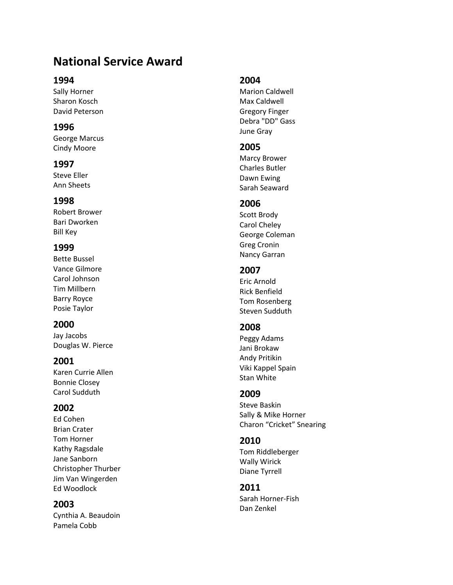# **National Service Award**

### **1994**

Sally Horner Sharon Kosch David Peterson

### **1996**

George Marcus Cindy Moore

#### **1997**

Steve Eller Ann Sheets

#### **1998**

Robert Brower Bari Dworken Bill Key

### **1999**

Bette Bussel Vance Gilmore Carol Johnson Tim Millbern Barry Royce Posie Taylor

### **2000**

Jay Jacobs Douglas W. Pierce

### **2001**

Karen Currie Allen Bonnie Closey Carol Sudduth

### **2002**

Ed Cohen Brian Crater Tom Horner Kathy Ragsdale Jane Sanborn Christopher Thurber Jim Van Wingerden Ed Woodlock

## **2003**

Cynthia A. Beaudoin Pamela Cobb

### **2004**

Marion Caldwell Max Caldwell Gregory Finger Debra "DD" Gass June Gray

### **2005**

Marcy Brower Charles Butler Dawn Ewing Sarah Seaward

### **2006**

Scott Brody Carol Cheley George Coleman Greg Cronin Nancy Garran

### **2007**

Eric Arnold Rick Benfield Tom Rosenberg Steven Sudduth

## **2008**

Peggy Adams Jani Brokaw Andy Pritikin Viki Kappel Spain Stan White

## **2009**

Steve Baskin Sally & Mike Horner Charon "Cricket" Snearing

### **2010**

Tom Riddleberger Wally Wirick Diane Tyrrell

### **2011**

Sarah Horner -Fish Dan Zenkel